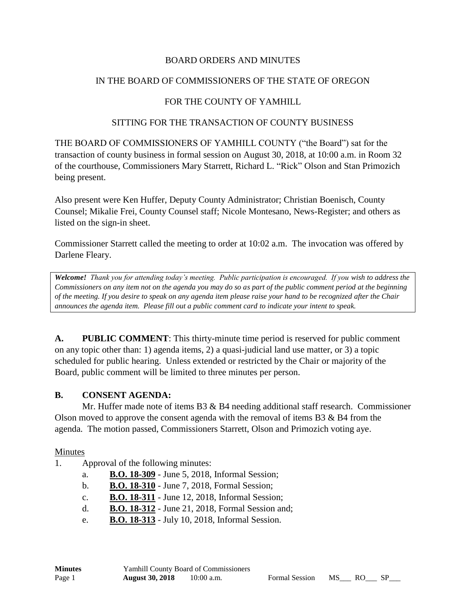#### BOARD ORDERS AND MINUTES

### IN THE BOARD OF COMMISSIONERS OF THE STATE OF OREGON

### FOR THE COUNTY OF YAMHILL

#### SITTING FOR THE TRANSACTION OF COUNTY BUSINESS

THE BOARD OF COMMISSIONERS OF YAMHILL COUNTY ("the Board") sat for the transaction of county business in formal session on August 30, 2018, at 10:00 a.m. in Room 32 of the courthouse, Commissioners Mary Starrett, Richard L. "Rick" Olson and Stan Primozich being present.

Also present were Ken Huffer, Deputy County Administrator; Christian Boenisch, County Counsel; Mikalie Frei, County Counsel staff; Nicole Montesano, News-Register; and others as listed on the sign-in sheet.

Commissioner Starrett called the meeting to order at 10:02 a.m. The invocation was offered by Darlene Fleary.

*Welcome! Thank you for attending today's meeting. Public participation is encouraged. If you wish to address the Commissioners on any item not on the agenda you may do so as part of the public comment period at the beginning of the meeting. If you desire to speak on any agenda item please raise your hand to be recognized after the Chair announces the agenda item. Please fill out a public comment card to indicate your intent to speak.*

**A. PUBLIC COMMENT**: This thirty-minute time period is reserved for public comment on any topic other than: 1) agenda items, 2) a quasi-judicial land use matter, or 3) a topic scheduled for public hearing. Unless extended or restricted by the Chair or majority of the Board, public comment will be limited to three minutes per person.

#### **B. CONSENT AGENDA:**

Mr. Huffer made note of items  $B3 \& B4$  needing additional staff research. Commissioner Olson moved to approve the consent agenda with the removal of items B3 & B4 from the agenda. The motion passed, Commissioners Starrett, Olson and Primozich voting aye.

#### Minutes

- 1. Approval of the following minutes:
	- a. **B.O. 18-309** June 5, 2018, Informal Session;
	- b. **B.O. 18-310** June 7, 2018, Formal Session;
	- c. **B.O. 18-311** June 12, 2018, Informal Session;
	- d. **B.O. 18-312** June 21, 2018, Formal Session and;
	- e. **B.O. 18-313** July 10, 2018, Informal Session.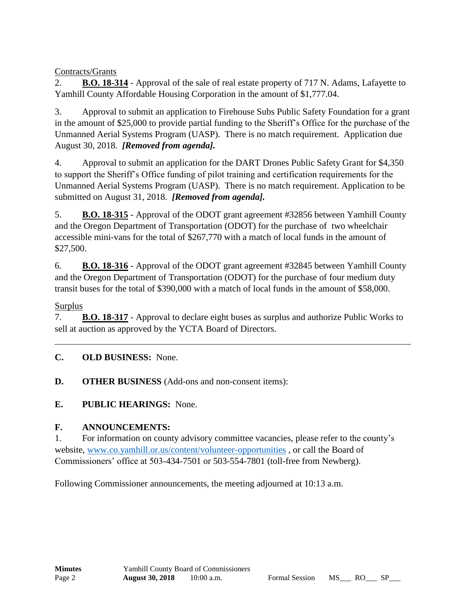Contracts/Grants

2. **B.O. 18-314** - Approval of the sale of real estate property of 717 N. Adams, Lafayette to Yamhill County Affordable Housing Corporation in the amount of \$1,777.04.

3. Approval to submit an application to Firehouse Subs Public Safety Foundation for a grant in the amount of \$25,000 to provide partial funding to the Sheriff's Office for the purchase of the Unmanned Aerial Systems Program (UASP). There is no match requirement. Application due August 30, 2018. *[Removed from agenda].*

4. Approval to submit an application for the DART Drones Public Safety Grant for \$4,350 to support the Sheriff's Office funding of pilot training and certification requirements for the Unmanned Aerial Systems Program (UASP). There is no match requirement. Application to be submitted on August 31, 2018. *[Removed from agenda].*

5. **B.O. 18-315** - Approval of the ODOT grant agreement #32856 between Yamhill County and the Oregon Department of Transportation (ODOT) for the purchase of two wheelchair accessible mini-vans for the total of \$267,770 with a match of local funds in the amount of \$27,500.

6. **B.O. 18-316** - Approval of the ODOT grant agreement #32845 between Yamhill County and the Oregon Department of Transportation (ODOT) for the purchase of four medium duty transit buses for the total of \$390,000 with a match of local funds in the amount of \$58,000.

Surplus

7. **B.O. 18-317** - Approval to declare eight buses as surplus and authorize Public Works to sell at auction as approved by the YCTA Board of Directors.

# **C. OLD BUSINESS:** None.

**D. OTHER BUSINESS** (Add-ons and non-consent items):

**E. PUBLIC HEARINGS:** None.

# **F. ANNOUNCEMENTS:**

1. For information on county advisory committee vacancies, please refer to the county's website, [www.co.yamhill.or.us/content/volunteer-opportunities](http://www.co.yamhill.or.us/content/volunteer-opportunities) , or call the Board of Commissioners' office at 503-434-7501 or 503-554-7801 (toll-free from Newberg).

Following Commissioner announcements, the meeting adjourned at 10:13 a.m.